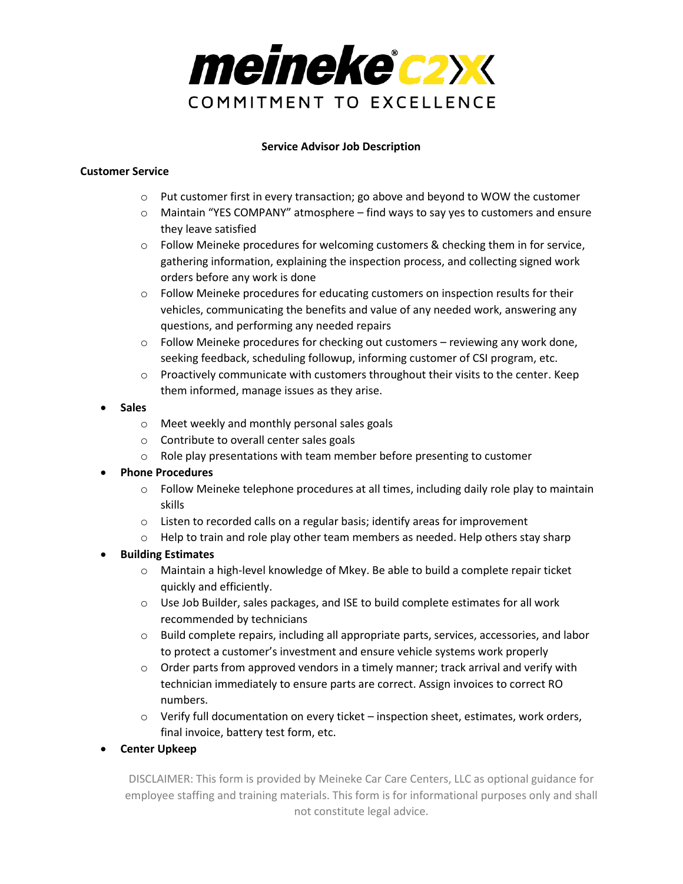

## **Service Advisor Job Description**

## **Customer Service**

- $\circ$  Put customer first in every transaction; go above and beyond to WOW the customer
- $\circ$  Maintain "YES COMPANY" atmosphere find ways to say yes to customers and ensure they leave satisfied
- $\circ$  Follow Meineke procedures for welcoming customers & checking them in for service, gathering information, explaining the inspection process, and collecting signed work orders before any work is done
- $\circ$  Follow Meineke procedures for educating customers on inspection results for their vehicles, communicating the benefits and value of any needed work, answering any questions, and performing any needed repairs
- $\circ$  Follow Meineke procedures for checking out customers reviewing any work done, seeking feedback, scheduling followup, informing customer of CSI program, etc.
- $\circ$  Proactively communicate with customers throughout their visits to the center. Keep them informed, manage issues as they arise.
- **Sales**
	- o Meet weekly and monthly personal sales goals
	- o Contribute to overall center sales goals
	- $\circ$  Role play presentations with team member before presenting to customer
- **Phone Procedures**
	- $\circ$  Follow Meineke telephone procedures at all times, including daily role play to maintain skills
	- o Listen to recorded calls on a regular basis; identify areas for improvement
	- $\circ$  Help to train and role play other team members as needed. Help others stay sharp
- **Building Estimates**
	- o Maintain a high-level knowledge of Mkey. Be able to build a complete repair ticket quickly and efficiently.
	- $\circ$  Use Job Builder, sales packages, and ISE to build complete estimates for all work recommended by technicians
	- $\circ$  Build complete repairs, including all appropriate parts, services, accessories, and labor to protect a customer's investment and ensure vehicle systems work properly
	- $\circ$  Order parts from approved vendors in a timely manner; track arrival and verify with technician immediately to ensure parts are correct. Assign invoices to correct RO numbers.
	- $\circ$  Verify full documentation on every ticket inspection sheet, estimates, work orders, final invoice, battery test form, etc.
- **Center Upkeep**

DISCLAIMER: This form is provided by Meineke Car Care Centers, LLC as optional guidance for employee staffing and training materials. This form is for informational purposes only and shall not constitute legal advice.